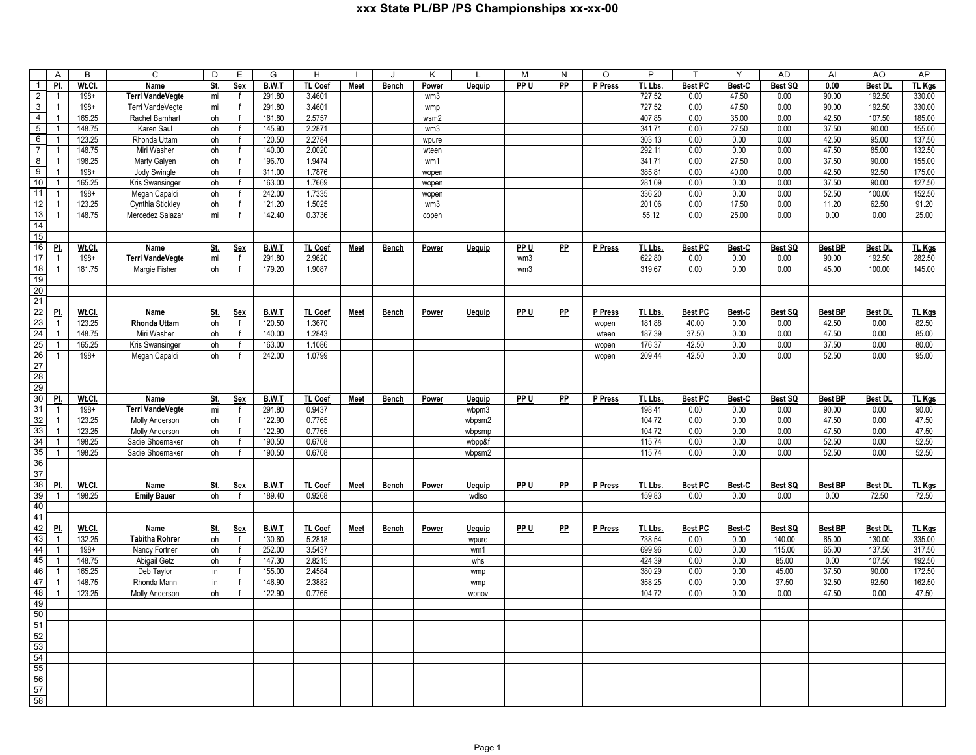|                 | A              | B       | $\overline{c}$          | D          | Ε            | G            | H              |             |              | K               |               | М               | N         | O       | P        | $\mathsf{T}$   | Y      | <b>AD</b> | AI             | AO             | AP            |
|-----------------|----------------|---------|-------------------------|------------|--------------|--------------|----------------|-------------|--------------|-----------------|---------------|-----------------|-----------|---------|----------|----------------|--------|-----------|----------------|----------------|---------------|
| $\overline{1}$  | PI.            | Wt.Cl.  | Name                    | <u>St.</u> | Sex          | <b>B.W.T</b> | TL Coef        | <b>Meet</b> | <b>Bench</b> | <b>Power</b>    | <b>Uequip</b> | PP U            | PP        | P Press | Tl. Lbs. | <b>Best PC</b> | Best-C | Best SQ   | 0.00           | <b>Best DI</b> | <u>TL Kgs</u> |
| $\overline{2}$  | $\overline{1}$ | $198 +$ | <b>Terri VandeVegte</b> | mi         | f            | 291.80       | 3.4601         |             |              | wm <sub>3</sub> |               |                 |           |         | 727.52   | 0.00           | 47.50  | 0.00      | 90.00          | 192.50         | 330.00        |
| $\mathbf{3}$    | $\overline{1}$ | $198 +$ | Terri VandeVegte        | mi         | $\mathsf{f}$ | 291.80       | 3.4601         |             |              | wmp             |               |                 |           |         | 727.52   | 0.00           | 47.50  | 0.00      | 90.00          | 192.50         | 330.00        |
| $\overline{4}$  | $\overline{1}$ | 165.25  | Rachel Barnhart         | oh         | $\mathbf{f}$ | 161.80       | 2.5757         |             |              | wsm2            |               |                 |           |         | 407.85   | 0.00           | 35.00  | 0.00      | 42.50          | 107.50         | 185.00        |
| $\overline{5}$  | $\overline{1}$ | 148.75  | Karen Saul              | oh         | f            | 145.90       | 2.2871         |             |              | wm3             |               |                 |           |         | 341.71   | 0.00           | 27.50  | 0.00      | 37.50          | 90.00          | 155.00        |
| $6\overline{6}$ | $\overline{1}$ | 123.25  | Rhonda Uttam            | oh         | $\mathbf{f}$ | 120.50       | 2.2784         |             |              | wpure           |               |                 |           |         | 303.13   | 0.00           | 0.00   | 0.00      | 42.50          | 95.00          | 137.50        |
| $\overline{7}$  | $\overline{1}$ | 148.75  | Miri Washer             | oh         | f            | 140.00       | 2.0020         |             |              | wteen           |               |                 |           |         | 292.11   | 0.00           | 0.00   | 0.00      | 47.50          | 85.00          | 132.50        |
| $\overline{8}$  | $\overline{1}$ | 198.25  | Marty Galyen            | oh         | $\mathbf{f}$ | 196.70       | 1.9474         |             |              | wm1             |               |                 |           |         | 341.71   | 0.00           | 27.50  | 0.00      | 37.50          | 90.00          | 155.00        |
| 9               | $\overline{1}$ | $198 +$ | Jody Swingle            | oh         | $\mathbf{f}$ | 311.00       | 1.7876         |             |              | wopen           |               |                 |           |         | 385.81   | 0.00           | 40.00  | 0.00      | 42.50          | 92.50          | 175.00        |
| 10              | $\overline{1}$ | 165.25  | Kris Swansinger         | oh         | $\mathbf{f}$ | 163.00       | 1.7669         |             |              | wopen           |               |                 |           |         | 281.09   | 0.00           | 0.00   | 0.00      | 37.50          | 90.00          | 127.50        |
| 11              | $\overline{1}$ | $198 +$ | Megan Capaldi           | oh         | f            | 242.00       | 1.7335         |             |              | wopen           |               |                 |           |         | 336.20   | 0.00           | 0.00   | 0.00      | 52.50          | 100.00         | 152.50        |
| $\overline{12}$ | $\overline{1}$ | 123.25  | Cynthia Stickley        | oh         | $\mathbf{f}$ | 121.20       | 1.5025         |             |              | wm3             |               |                 |           |         | 201.06   | 0.00           | 17.50  | 0.00      | 11.20          | 62.50          | 91.20         |
| 13              | $\overline{1}$ | 148.75  | Mercedez Salazar        | mi         | $\mathsf{f}$ | 142.40       | 0.3736         |             |              | copen           |               |                 |           |         | 55.12    | 0.00           | 25.00  | 0.00      | 0.00           | 0.00           | 25.00         |
| 14              |                |         |                         |            |              |              |                |             |              |                 |               |                 |           |         |          |                |        |           |                |                |               |
| 15              |                |         |                         |            |              |              |                |             |              |                 |               |                 |           |         |          |                |        |           |                |                |               |
| 16              | PI.            | Wt.Cl.  | Name                    | <u>St.</u> | Sex          | B.W.T        | TL Coef        | Meet        | Bench        | Power           | Uequip        | PP U            | PP        | P Press | Tl. Lbs. | <b>Best PC</b> | Best-C | Best SQ   | <b>Best BP</b> | <b>Best DL</b> | TL Kgs        |
| $\overline{17}$ | $\overline{1}$ | $198+$  | <b>Terri VandeVegte</b> | mi         | f            | 291.80       | 2.9620         |             |              |                 |               | wm3             |           |         | 622.80   | 0.00           | 0.00   | 0.00      | 90.00          | 192.50         | 282.50        |
| 18              | $\overline{1}$ | 181.75  | Margie Fisher           | oh         | $\mathsf{f}$ | 179.20       | 1.9087         |             |              |                 |               | wm3             |           |         | 319.67   | 0.00           | 0.00   | 0.00      | 45.00          | 100.00         | 145.00        |
| 19              |                |         |                         |            |              |              |                |             |              |                 |               |                 |           |         |          |                |        |           |                |                |               |
| 20              |                |         |                         |            |              |              |                |             |              |                 |               |                 |           |         |          |                |        |           |                |                |               |
| 21              |                |         |                         |            |              |              |                |             |              |                 |               |                 |           |         |          |                |        |           |                |                |               |
| 22              | PI.            | Wt.Cl.  | Name                    | St.        | Sex          | B.W.T        | TL Coef        | Meet        | Bench        | Power           | Uequip        | PP U            | PP        | P Press | Tl. Lbs. | <b>Best PC</b> | Best-C | Best SQ   | <b>Best BP</b> | <b>Best DI</b> | TL Kgs        |
| 23              | $\overline{1}$ | 123.25  | Rhonda Uttam            | oh         | $\mathsf{f}$ | 120.50       | 1.3670         |             |              |                 |               |                 |           | wopen   | 181.88   | 40.00          | 0.00   | 0.00      | 42.50          | 0.00           | 82.50         |
| $\overline{24}$ | $\overline{1}$ | 148.75  | Miri Washer             | oh         | $\mathsf{f}$ | 140.00       | 1.2843         |             |              |                 |               |                 |           | wteen   | 187.39   | 37.50          | 0.00   | 0.00      | 47.50          | 0.00           | 85.00         |
| $\overline{25}$ | $\overline{1}$ | 165.25  | Kris Swansinger         | oh         | $\mathsf{f}$ | 163.00       | 1.1086         |             |              |                 |               |                 |           | wopen   | 176.37   | 42.50          | 0.00   | 0.00      | 37.50          | 0.00           | 80.00         |
| $\overline{26}$ | $\overline{1}$ | $198 +$ | Megan Capaldi           | oh         | f            | 242.00       | 1.0799         |             |              |                 |               |                 |           | wopen   | 209.44   | 42.50          | 0.00   | 0.00      | 52.50          | 0.00           | 95.00         |
| $\overline{27}$ |                |         |                         |            |              |              |                |             |              |                 |               |                 |           |         |          |                |        |           |                |                |               |
| $\overline{28}$ |                |         |                         |            |              |              |                |             |              |                 |               |                 |           |         |          |                |        |           |                |                |               |
| 29              |                |         |                         |            |              |              |                |             |              |                 |               |                 |           |         |          |                |        |           |                |                |               |
| 30              | PI.            | Wt.Cl.  | Name                    | St.        | Sex          | B.W.T        | TL Coef        | Meet        | Bench        | Power           | Uequip        | PP <sub>U</sub> | PP        | P Press | Tl. Lbs. | <b>Best PC</b> | Best-C | Best SQ   | <b>Best BP</b> | <b>Best DI</b> | TL Kgs        |
| 31              | $\overline{1}$ | $198 +$ | <b>Terri VandeVegte</b> | mi         | $\mathsf{f}$ | 291.80       | 0.9437         |             |              |                 | wbpm3         |                 |           |         | 198.41   | 0.00           | 0.00   | 0.00      | 90.00          | 0.00           | 90.00         |
| 32              | $\overline{1}$ | 123.25  | Molly Anderson          | oh         | f            | 122.90       | 0.7765         |             |              |                 | wbpsm2        |                 |           |         | 104.72   | 0.00           | 0.00   | 0.00      | 47.50          | 0.00           | 47.50         |
| 33              | $\overline{1}$ | 123.25  | Molly Anderson          | oh         | $\mathbf{f}$ | 122.90       | 0.7765         |             |              |                 | wbpsmp        |                 |           |         | 104.72   | 0.00           | 0.00   | 0.00      | 47.50          | 0.00           | 47.50         |
| 34              | $\overline{1}$ | 198.25  | Sadie Shoemaker         | oh         | $\mathsf{f}$ | 190.50       | 0.6708         |             |              |                 | wbpp&f        |                 |           |         | 115.74   | 0.00           | 0.00   | 0.00      | 52.50          | 0.00           | 52.50         |
| 35              | $\overline{1}$ | 198.25  | Sadie Shoemaker         | oh         | $\mathbf{f}$ | 190.50       | 0.6708         |             |              |                 | wbpsm2        |                 |           |         | 115.74   | 0.00           | 0.00   | 0.00      | 52.50          | 0.00           | 52.50         |
| 36              |                |         |                         |            |              |              |                |             |              |                 |               |                 |           |         |          |                |        |           |                |                |               |
| 37              |                |         |                         |            |              |              |                |             |              |                 |               |                 |           |         |          |                |        |           |                |                |               |
| 38              | PI.            | Wt.Cl.  | Name                    | St.        | Sex          | B.W.T        | TL Coef        | <b>Meet</b> | <b>Bench</b> | Power           | Uequip        | PP U            | <b>PP</b> | P Press | Tl. Lbs. | <b>Best PC</b> | Best-C | Best SQ   | <b>Best BP</b> | <b>Best DI</b> | TL Kgs        |
| 39              | $\overline{1}$ | 198.25  | <b>Emily Bauer</b>      | oh         | $\mathsf{f}$ | 189.40       | 0.9268         |             |              |                 | wdlso         |                 |           |         | 159.83   | 0.00           | 0.00   | 0.00      | 0.00           | 72.50          | 72.50         |
| 40              |                |         |                         |            |              |              |                |             |              |                 |               |                 |           |         |          |                |        |           |                |                |               |
| 41              |                |         |                         |            |              |              |                |             |              |                 |               |                 |           |         |          |                |        |           |                |                |               |
| 42              | PI.            | Wt.Cl.  | Name                    | <u>St.</u> | <b>Sex</b>   | B.W.T        | <b>TL Coef</b> | <b>Meet</b> | <b>Bench</b> | Power           | <b>Uequip</b> | PP U            | <b>PP</b> | P Press | Tl. Lbs. | <b>Best PC</b> | Best-C | Best SQ   | <b>Best BP</b> | <b>Best DI</b> | TL Kgs        |
| 43              | $\overline{1}$ | 132.25  | <b>Tabitha Rohrer</b>   | oh         | $\mathsf{f}$ | 130.60       | 5.2818         |             |              |                 | wpure         |                 |           |         | 738.54   | 0.00           | 0.00   | 140.00    | 65.00          | 130.00         | 335.00        |
| 44              | $\overline{1}$ | $198+$  | Nancy Fortner           | oh         | $\mathsf{f}$ | 252.00       | 3.5437         |             |              |                 | wm1           |                 |           |         | 699.96   | 0.00           | 0.00   | 115.00    | 65.00          | 137.50         | 317.50        |
| 45              | $\overline{1}$ | 148.75  | <b>Abigail Getz</b>     | oh         | $\mathsf{f}$ | 147.30       | 2.8215         |             |              |                 | whs           |                 |           |         | 424.39   | 0.00           | 0.00   | 85.00     | 0.00           | 107.50         | 192.50        |
| 46              | $\overline{1}$ | 165.25  | Deb Taylor              | in         | $\mathsf{f}$ | 155.00       | 2.4584         |             |              |                 | wmp           |                 |           |         | 380.29   | 0.00           | 0.00   | 45.00     | 37.50          | 90.00          | 172.50        |
| 47              | $\overline{1}$ | 148.75  | Rhonda Mann             | in         | $\mathsf{f}$ | 146.90       | 2.3882         |             |              |                 | wmp           |                 |           |         | 358.25   | 0.00           | 0.00   | 37.50     | 32.50          | 92.50          | 162.50        |
| 48              | $\overline{1}$ | 123.25  | Molly Anderson          | oh         | $\mathbf{f}$ | 122.90       | 0.7765         |             |              |                 | wpnov         |                 |           |         | 104.72   | 0.00           | 0.00   | 0.00      | 47.50          | 0.00           | 47.50         |
| 49              |                |         |                         |            |              |              |                |             |              |                 |               |                 |           |         |          |                |        |           |                |                |               |
| 50              |                |         |                         |            |              |              |                |             |              |                 |               |                 |           |         |          |                |        |           |                |                |               |
| 51              |                |         |                         |            |              |              |                |             |              |                 |               |                 |           |         |          |                |        |           |                |                |               |
| 52              |                |         |                         |            |              |              |                |             |              |                 |               |                 |           |         |          |                |        |           |                |                |               |
| 53              |                |         |                         |            |              |              |                |             |              |                 |               |                 |           |         |          |                |        |           |                |                |               |
| 54              |                |         |                         |            |              |              |                |             |              |                 |               |                 |           |         |          |                |        |           |                |                |               |
| 55              |                |         |                         |            |              |              |                |             |              |                 |               |                 |           |         |          |                |        |           |                |                |               |
| 56              |                |         |                         |            |              |              |                |             |              |                 |               |                 |           |         |          |                |        |           |                |                |               |
| 57              |                |         |                         |            |              |              |                |             |              |                 |               |                 |           |         |          |                |        |           |                |                |               |
| 58              |                |         |                         |            |              |              |                |             |              |                 |               |                 |           |         |          |                |        |           |                |                |               |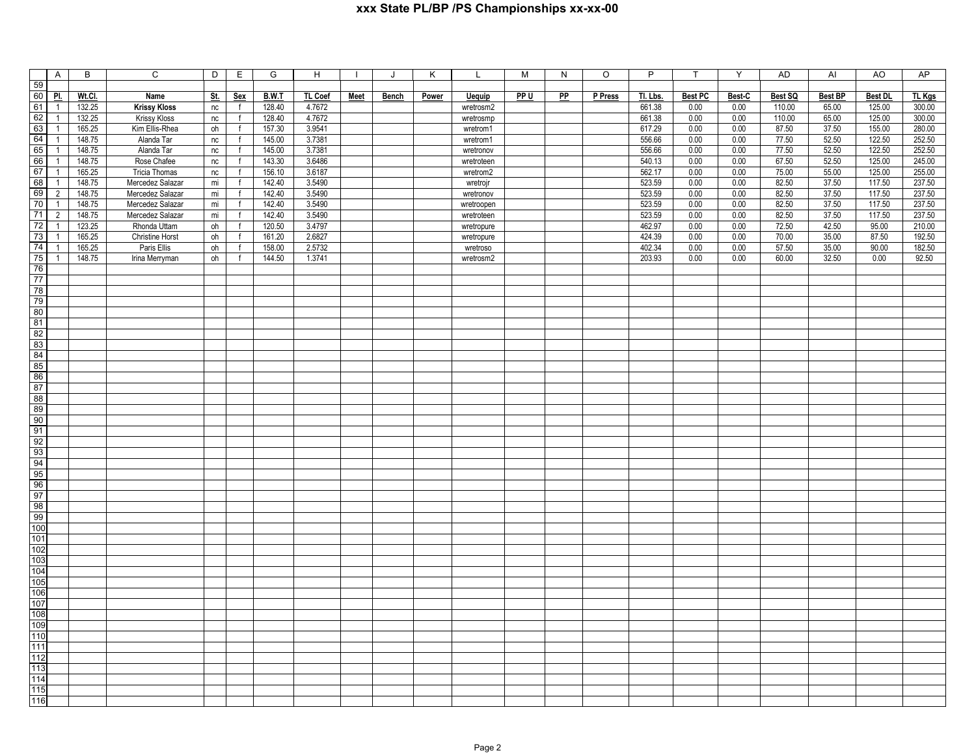|                       | $\overline{A}$                   | B                | $\overline{c}$                   | D        | $\overline{E}$    | G                | $\overline{H}$   | $\mathbf{I}$ | J            | Κ     | L                        | M    | $\overline{N}$ | $\overline{\circ}$ | $\overline{P}$   | $\mathsf{T}$   | Y            | A <sub>D</sub>  | $\overline{A}$ | AO               | AP               |
|-----------------------|----------------------------------|------------------|----------------------------------|----------|-------------------|------------------|------------------|--------------|--------------|-------|--------------------------|------|----------------|--------------------|------------------|----------------|--------------|-----------------|----------------|------------------|------------------|
| 59                    |                                  |                  |                                  |          |                   |                  |                  |              |              |       |                          |      |                |                    |                  |                |              |                 |                |                  |                  |
| 60                    | <u>Pl.</u>                       | Wt.Cl.           | Name                             | St.      | <b>Sex</b>        | B.W.T            | TL Coef          | Meet         | <b>Bench</b> | Power | <b>Uequip</b>            | PP U | <b>PP</b>      | P Press            | Tl. Lbs.         | <b>Best PC</b> | Best-C       | Best SQ         | <b>Best BP</b> | <b>Best DL</b>   | TL Kgs           |
| 61                    | $\overline{1}$                   | 132.25           | <b>Krissy Kloss</b>              | nc       | f                 | 128.40           | 4.7672           |              |              |       | wretrosm2                |      |                |                    | 661.38           | 0.00           | 0.00         | 110.00          | 65.00          | 125.00           | 300.00           |
| 62<br>63              | $\overline{1}$<br>$\overline{1}$ | 132.25<br>165.25 | Krissy Kloss<br>Kim Ellis-Rhea   | nc<br>oh | f<br>f            | 128.40<br>157.30 | 4.7672<br>3.9541 |              |              |       | wretrosmp<br>wretrom1    |      |                |                    | 661.38<br>617.29 | 0.00<br>0.00   | 0.00<br>0.00 | 110.00<br>87.50 | 65.00<br>37.50 | 125.00<br>155.00 | 300.00<br>280.00 |
| 64                    | $\overline{1}$                   | 148.75           | Alanda Tar                       | $\sf nc$ | f                 | 145.00           | 3.7381           |              |              |       | wretrom1                 |      |                |                    | 556.66           | 0.00           | 0.00         | 77.50           | 52.50          | 122.50           | 252.50           |
| 65                    | $\overline{1}$                   | 148.75           | Alanda Tar                       | nc       | f                 | 145.00           | 3.7381           |              |              |       | wretronov                |      |                |                    | 556.66           | 0.00           | 0.00         | 77.50           | 52.50          | 122.50           | 252.50           |
| 66                    | $\overline{1}$                   | 148.75           | Rose Chafee                      | nc       | $\mathsf{f}$      | 143.30           | 3.6486           |              |              |       | wretroteen               |      |                |                    | 540.13           | $0.00\,$       | 0.00         | 67.50           | 52.50          | 125.00           | 245.00           |
| 67                    | $\mathbf{1}$                     | 165.25           | Tricia Thomas                    | nc       | $\mathsf{f}$      | 156.10           | 3.6187           |              |              |       | wretrom2                 |      |                |                    | 562.17           | 0.00           | 0.00         | 75.00           | 55.00          | 125.00           | 255.00           |
| 68                    | $\overline{1}$                   | 148.75           | Mercedez Salazar                 | mi       | f                 | 142.40           | 3.5490           |              |              |       | wretrojr                 |      |                |                    | 523.59           | 0.00           | 0.00         | 82.50           | 37.50          | 117.50           | 237.50           |
| 69                    | $\overline{2}$                   | 148.75           | Mercedez Salazar                 | mi       | $\mathsf{f}$      | 142.40           | 3.5490           |              |              |       | wretronov                |      |                |                    | 523.59           | 0.00           | 0.00         | 82.50           | 37.50          | 117.50           | 237.50           |
| 70                    | $\overline{1}$                   | 148.75           | Mercedez Salazar                 | mi       | $\mathsf{f}$      | 142.40           | 3.5490           |              |              |       | wretroopen               |      |                |                    | 523.59           | 0.00           | 0.00         | 82.50           | 37.50          | 117.50           | 237.50<br>237.50 |
| 71<br>$\overline{72}$ | $\overline{2}$<br>$\mathbf{1}$   | 148.75<br>123.25 | Mercedez Salazar<br>Rhonda Uttam | mi       | $\mathsf{f}$<br>f | 142.40<br>120.50 | 3.5490<br>3.4797 |              |              |       | wretroteen               |      |                |                    | 523.59<br>462.97 | 0.00<br>0.00   | 0.00<br>0.00 | 82.50<br>72.50  | 37.50<br>42.50 | 117.50<br>95.00  | 210.00           |
| 73                    | $\overline{1}$                   | 165.25           | <b>Christine Horst</b>           | oh<br>oh | $\mathsf{f}$      | 161.20           | 2.6827           |              |              |       | wretropure<br>wretropure |      |                |                    | 424.39           | 0.00           | 0.00         | 70.00           | 35.00          | 87.50            | 192.50           |
| 74                    | $\overline{1}$                   | 165.25           | Paris Ellis                      | oh       | f                 | 158.00           | 2.5732           |              |              |       | wretroso                 |      |                |                    | 402.34           | 0.00           | 0.00         | 57.50           | 35.00          | 90.00            | 182.50           |
| 75                    | $\overline{1}$                   | 148.75           | Irina Merryman                   | oh       | $\mathsf{f}$      | 144.50           | 1.3741           |              |              |       | wretrosm2                |      |                |                    | 203.93           | 0.00           | 0.00         | 60.00           | 32.50          | 0.00             | 92.50            |
| 76                    |                                  |                  |                                  |          |                   |                  |                  |              |              |       |                          |      |                |                    |                  |                |              |                 |                |                  |                  |
| 77                    |                                  |                  |                                  |          |                   |                  |                  |              |              |       |                          |      |                |                    |                  |                |              |                 |                |                  |                  |
| 78                    |                                  |                  |                                  |          |                   |                  |                  |              |              |       |                          |      |                |                    |                  |                |              |                 |                |                  |                  |
| 79                    |                                  |                  |                                  |          |                   |                  |                  |              |              |       |                          |      |                |                    |                  |                |              |                 |                |                  |                  |
| 80<br>81              |                                  |                  |                                  |          |                   |                  |                  |              |              |       |                          |      |                |                    |                  |                |              |                 |                |                  |                  |
| 82                    |                                  |                  |                                  |          |                   |                  |                  |              |              |       |                          |      |                |                    |                  |                |              |                 |                |                  |                  |
| 83                    |                                  |                  |                                  |          |                   |                  |                  |              |              |       |                          |      |                |                    |                  |                |              |                 |                |                  |                  |
| 84                    |                                  |                  |                                  |          |                   |                  |                  |              |              |       |                          |      |                |                    |                  |                |              |                 |                |                  |                  |
| 85                    |                                  |                  |                                  |          |                   |                  |                  |              |              |       |                          |      |                |                    |                  |                |              |                 |                |                  |                  |
| 86                    |                                  |                  |                                  |          |                   |                  |                  |              |              |       |                          |      |                |                    |                  |                |              |                 |                |                  |                  |
| 87                    |                                  |                  |                                  |          |                   |                  |                  |              |              |       |                          |      |                |                    |                  |                |              |                 |                |                  |                  |
| 88                    |                                  |                  |                                  |          |                   |                  |                  |              |              |       |                          |      |                |                    |                  |                |              |                 |                |                  |                  |
| 89<br>90              |                                  |                  |                                  |          |                   |                  |                  |              |              |       |                          |      |                |                    |                  |                |              |                 |                |                  |                  |
| 91                    |                                  |                  |                                  |          |                   |                  |                  |              |              |       |                          |      |                |                    |                  |                |              |                 |                |                  |                  |
| 92                    |                                  |                  |                                  |          |                   |                  |                  |              |              |       |                          |      |                |                    |                  |                |              |                 |                |                  |                  |
| 93                    |                                  |                  |                                  |          |                   |                  |                  |              |              |       |                          |      |                |                    |                  |                |              |                 |                |                  |                  |
| 94                    |                                  |                  |                                  |          |                   |                  |                  |              |              |       |                          |      |                |                    |                  |                |              |                 |                |                  |                  |
| 95                    |                                  |                  |                                  |          |                   |                  |                  |              |              |       |                          |      |                |                    |                  |                |              |                 |                |                  |                  |
| 96                    |                                  |                  |                                  |          |                   |                  |                  |              |              |       |                          |      |                |                    |                  |                |              |                 |                |                  |                  |
| 97                    |                                  |                  |                                  |          |                   |                  |                  |              |              |       |                          |      |                |                    |                  |                |              |                 |                |                  |                  |
| 98<br>99              |                                  |                  |                                  |          |                   |                  |                  |              |              |       |                          |      |                |                    |                  |                |              |                 |                |                  |                  |
| 100                   |                                  |                  |                                  |          |                   |                  |                  |              |              |       |                          |      |                |                    |                  |                |              |                 |                |                  |                  |
| 101                   |                                  |                  |                                  |          |                   |                  |                  |              |              |       |                          |      |                |                    |                  |                |              |                 |                |                  |                  |
| 102                   |                                  |                  |                                  |          |                   |                  |                  |              |              |       |                          |      |                |                    |                  |                |              |                 |                |                  |                  |
| 103                   |                                  |                  |                                  |          |                   |                  |                  |              |              |       |                          |      |                |                    |                  |                |              |                 |                |                  |                  |
| 104                   |                                  |                  |                                  |          |                   |                  |                  |              |              |       |                          |      |                |                    |                  |                |              |                 |                |                  |                  |
| 105                   |                                  |                  |                                  |          |                   |                  |                  |              |              |       |                          |      |                |                    |                  |                |              |                 |                |                  |                  |
| 106<br>107            |                                  |                  |                                  |          |                   |                  |                  |              |              |       |                          |      |                |                    |                  |                |              |                 |                |                  |                  |
| 108                   |                                  |                  |                                  |          |                   |                  |                  |              |              |       |                          |      |                |                    |                  |                |              |                 |                |                  |                  |
| 109                   |                                  |                  |                                  |          |                   |                  |                  |              |              |       |                          |      |                |                    |                  |                |              |                 |                |                  |                  |
| 110                   |                                  |                  |                                  |          |                   |                  |                  |              |              |       |                          |      |                |                    |                  |                |              |                 |                |                  |                  |
| 111                   |                                  |                  |                                  |          |                   |                  |                  |              |              |       |                          |      |                |                    |                  |                |              |                 |                |                  |                  |
| 112                   |                                  |                  |                                  |          |                   |                  |                  |              |              |       |                          |      |                |                    |                  |                |              |                 |                |                  |                  |
| 113                   |                                  |                  |                                  |          |                   |                  |                  |              |              |       |                          |      |                |                    |                  |                |              |                 |                |                  |                  |
| 114                   |                                  |                  |                                  |          |                   |                  |                  |              |              |       |                          |      |                |                    |                  |                |              |                 |                |                  |                  |
| 115                   |                                  |                  |                                  |          |                   |                  |                  |              |              |       |                          |      |                |                    |                  |                |              |                 |                |                  |                  |
| 116                   |                                  |                  |                                  |          |                   |                  |                  |              |              |       |                          |      |                |                    |                  |                |              |                 |                |                  |                  |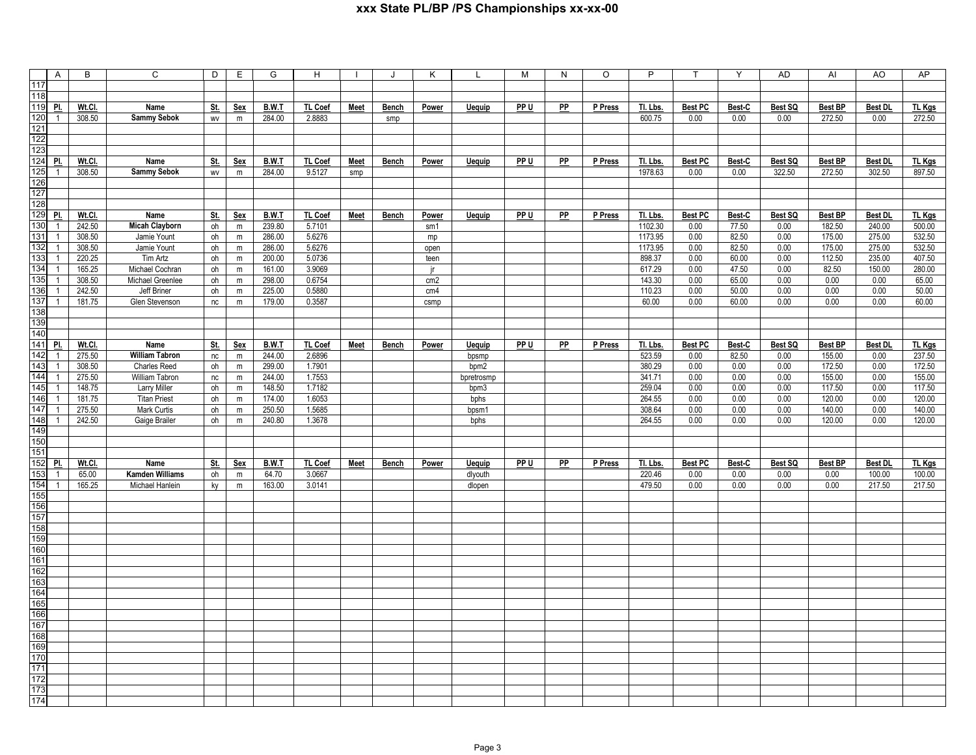|                  | $\mathsf{A}$   | B      | C                     | D          | Е           | G      | H       |             | J     | K               | L             | м    | N  | O       | P        | $\mathsf{T}$   | Y      | <b>AD</b> | AI             | AO             | AP            |
|------------------|----------------|--------|-----------------------|------------|-------------|--------|---------|-------------|-------|-----------------|---------------|------|----|---------|----------|----------------|--------|-----------|----------------|----------------|---------------|
| 117              |                |        |                       |            |             |        |         |             |       |                 |               |      |    |         |          |                |        |           |                |                |               |
| 118              |                |        |                       |            |             |        |         |             |       |                 |               |      |    |         |          |                |        |           |                |                |               |
| 119              | PI.            | Wt.Cl. | Name                  | St.        | Sex         | B.W.T  | TL Coef | Meet        | Bench | Power           | <b>Uequip</b> | PP U | PP | P Press | Tl. Lbs. | <b>Best PC</b> | Best-C | Best SQ   | <b>Best BP</b> | <b>Best DL</b> | <b>TL Kgs</b> |
| 120              | $\overline{1}$ | 308.50 | <b>Sammy Sebok</b>    | WV         | m           | 284.00 | 2.8883  |             | smp   |                 |               |      |    |         | 600.75   | 0.00           | 0.00   | 0.00      | 272.50         | 0.00           | 272.50        |
| 121              |                |        |                       |            |             |        |         |             |       |                 |               |      |    |         |          |                |        |           |                |                |               |
| 122              |                |        |                       |            |             |        |         |             |       |                 |               |      |    |         |          |                |        |           |                |                |               |
| 123              |                |        |                       |            |             |        |         |             |       |                 |               |      |    |         |          |                |        |           |                |                |               |
| 124              | PI.            | Wt.Cl. | Name                  | St.        | Sex         | B.W.T  | TL Coef | Meet        | Bench | Power           | <b>Uequip</b> | PP U | PP | P Press | Tl. Lbs. | <b>Best PC</b> | Best-C | Best SQ   | <b>Best BP</b> | <b>Best DL</b> | TL Kgs        |
| 125              | $\overline{1}$ | 308.50 | <b>Sammy Sebok</b>    | WV         | ${\sf m}$   | 284.00 | 9.5127  | smp         |       |                 |               |      |    |         | 1978.63  | 0.00           | 0.00   | 322.50    | 272.50         | 302.50         | 897.50        |
| 126              |                |        |                       |            |             |        |         |             |       |                 |               |      |    |         |          |                |        |           |                |                |               |
| 127              |                |        |                       |            |             |        |         |             |       |                 |               |      |    |         |          |                |        |           |                |                |               |
| 128              |                |        |                       |            |             |        |         |             |       |                 |               |      |    |         |          |                |        |           |                |                |               |
| 129              | PI.            | Wt.Cl. | Name                  | <u>St.</u> | <b>Sex</b>  | B.W.T  | TL Coef | <b>Meet</b> | Bench | Power           | <b>Uequip</b> | PP U | PP | P Press | Tl. Lbs. | <b>Best PC</b> | Best-C | Best SQ   | <b>Best BP</b> | <b>Best DL</b> | TL Kgs        |
| 130              | $\overline{1}$ | 242.50 | <b>Micah Clayborn</b> | oh         | ${\sf m}$   | 239.80 | 5.7101  |             |       | sm1             |               |      |    |         | 1102.30  | 0.00           | 77.50  | 0.00      | 182.50         | 240.00         | 500.00        |
| 131              | $\overline{1}$ | 308.50 | Jamie Yount           | oh         | ${\sf m}$   | 286.00 | 5.6276  |             |       | mp              |               |      |    |         | 1173.95  | 0.00           | 82.50  | 0.00      | 175.00         | 275.00         | 532.50        |
| 132              | $\overline{1}$ | 308.50 | Jamie Yount           | oh         | ${\sf m}$   | 286.00 | 5.6276  |             |       | open            |               |      |    |         | 1173.95  | 0.00           | 82.50  | 0.00      | 175.00         | 275.00         | 532.50        |
| 133              | $\overline{1}$ | 220.25 | Tim Artz              | oh         | ${\sf m}$   | 200.00 | 5.0736  |             |       | teen            |               |      |    |         | 898.37   | 0.00           | 60.00  | 0.00      | 112.50         | 235.00         | 407.50        |
| 134              | $\overline{1}$ | 165.25 | Michael Cochran       | oh         | ${\sf m}$   | 161.00 | 3.9069  |             |       | ir.             |               |      |    |         | 617.29   | 0.00           | 47.50  | 0.00      | 82.50          | 150.00         | 280.00        |
| 135              | $\overline{1}$ | 308.50 | Michael Greenlee      | oh         | ${\sf m}$   | 298.00 | 0.6754  |             |       | cm <sub>2</sub> |               |      |    |         | 143.30   | 0.00           | 65.00  | 0.00      | 0.00           | 0.00           | 65.00         |
| 136              | $\overline{1}$ | 242.50 | Jeff Briner           | oh         | ${\sf m}$   | 225.00 | 0.5880  |             |       | cm4             |               |      |    |         | 110.23   | 0.00           | 50.00  | 0.00      | 0.00           | 0.00           | 50.00         |
| 137              | $\overline{1}$ | 181.75 | Glen Stevenson        | nc         | ${\sf m}$   | 179.00 | 0.3587  |             |       | csmp            |               |      |    |         | 60.00    | 0.00           | 60.00  | 0.00      | 0.00           | 0.00           | 60.00         |
| 138              |                |        |                       |            |             |        |         |             |       |                 |               |      |    |         |          |                |        |           |                |                |               |
| 139              |                |        |                       |            |             |        |         |             |       |                 |               |      |    |         |          |                |        |           |                |                |               |
| 140              |                |        |                       |            |             |        |         |             |       |                 |               |      |    |         |          |                |        |           |                |                |               |
| 141              | PI.            | Wt.Cl. | Name                  | <u>St.</u> | Sex         | B.W.T  | TL Coef | Meet        | Bench | Power           | Uequip        | PP U | PP | P Press | Tl. Lbs. | <b>Best PC</b> | Best-C | Best SQ   | <b>Best BP</b> | <b>Best DL</b> | TL Kgs        |
| 142              | $\overline{1}$ | 275.50 | <b>William Tabron</b> | nc         | ${\sf m}$   | 244.00 | 2.6896  |             |       |                 | bpsmp         |      |    |         | 523.59   | 0.00           | 82.50  | 0.00      | 155.00         | 0.00           | 237.50        |
| 143              | $\overline{1}$ | 308.50 | <b>Charles Reed</b>   | oh         | $\mathsf m$ | 299.00 | 1.7901  |             |       |                 | bpm2          |      |    |         | 380.29   | 0.00           | 0.00   | 0.00      | 172.50         | 0.00           | 172.50        |
| 144              | $\overline{1}$ | 275.50 | William Tabron        | $nc$       | ${\sf m}$   | 244.00 | 1.7553  |             |       |                 | bpretrosmp    |      |    |         | 341.71   | 0.00           | 0.00   | 0.00      | 155.00         | 0.00           | 155.00        |
| $\overline{145}$ | $\overline{1}$ | 148.75 | <b>Larry Miller</b>   | oh         | m           | 148.50 | 1.7182  |             |       |                 | bpm3          |      |    |         | 259.04   | 0.00           | 0.00   | 0.00      | 117.50         | 0.00           | 117.50        |
| 146              | $\mathbf{1}$   | 181.75 | <b>Titan Priest</b>   | oh         | ${\sf m}$   | 174.00 | 1.6053  |             |       |                 | bphs          |      |    |         | 264.55   | 0.00           | 0.00   | 0.00      | 120.00         | 0.00           | 120.00        |
| 147              | $\overline{1}$ | 275.50 | <b>Mark Curtis</b>    | oh         | $\mathsf m$ | 250.50 | 1.5685  |             |       |                 | bpsm1         |      |    |         | 308.64   | 0.00           | 0.00   | 0.00      | 140.00         | 0.00           | 140.00        |
| 148              | $\mathbf{1}$   | 242.50 | Gaige Brailer         | oh         | ${\sf m}$   | 240.80 | 1.3678  |             |       |                 | bphs          |      |    |         | 264.55   | 0.00           | 0.00   | 0.00      | 120.00         | 0.00           | 120.00        |
| 149              |                |        |                       |            |             |        |         |             |       |                 |               |      |    |         |          |                |        |           |                |                |               |
| 150              |                |        |                       |            |             |        |         |             |       |                 |               |      |    |         |          |                |        |           |                |                |               |
| 151              |                |        |                       |            |             |        |         |             |       |                 |               |      |    |         |          |                |        |           |                |                |               |
| 152              | PI.            | Wt.Cl. | Name                  | St.        | Sex         | B.W.T  | TL Coef | Meet        | Bench | Power           | Uequip        | PP U | PP | P Press | Tl. Lbs. | <b>Best PC</b> | Best-C | Best SQ   | <b>Best BP</b> | <b>Best DL</b> | <b>TL Kgs</b> |
| 153              | $\overline{1}$ | 65.00  | Kamden Williams       | oh         | ${\sf m}$   | 64.70  | 3.0667  |             |       |                 | dlyouth       |      |    |         | 220.46   | 0.00           | 0.00   | 0.00      | 0.00           | 100.00         | 100.00        |
| 154              | $\overline{1}$ | 165.25 | Michael Hanlein       | ky         | ${\sf m}$   | 163.00 | 3.0141  |             |       |                 | dlopen        |      |    |         | 479.50   | 0.00           | 0.00   | 0.00      | 0.00           | 217.50         | 217.50        |
| 155<br>156       |                |        |                       |            |             |        |         |             |       |                 |               |      |    |         |          |                |        |           |                |                |               |
| 157              |                |        |                       |            |             |        |         |             |       |                 |               |      |    |         |          |                |        |           |                |                |               |
| 158              |                |        |                       |            |             |        |         |             |       |                 |               |      |    |         |          |                |        |           |                |                |               |
| 159              |                |        |                       |            |             |        |         |             |       |                 |               |      |    |         |          |                |        |           |                |                |               |
| 160              |                |        |                       |            |             |        |         |             |       |                 |               |      |    |         |          |                |        |           |                |                |               |
| 161              |                |        |                       |            |             |        |         |             |       |                 |               |      |    |         |          |                |        |           |                |                |               |
| 162              |                |        |                       |            |             |        |         |             |       |                 |               |      |    |         |          |                |        |           |                |                |               |
| 163              |                |        |                       |            |             |        |         |             |       |                 |               |      |    |         |          |                |        |           |                |                |               |
| 164              |                |        |                       |            |             |        |         |             |       |                 |               |      |    |         |          |                |        |           |                |                |               |
| 165              |                |        |                       |            |             |        |         |             |       |                 |               |      |    |         |          |                |        |           |                |                |               |
| 166              |                |        |                       |            |             |        |         |             |       |                 |               |      |    |         |          |                |        |           |                |                |               |
| 167              |                |        |                       |            |             |        |         |             |       |                 |               |      |    |         |          |                |        |           |                |                |               |
| 168              |                |        |                       |            |             |        |         |             |       |                 |               |      |    |         |          |                |        |           |                |                |               |
| 169              |                |        |                       |            |             |        |         |             |       |                 |               |      |    |         |          |                |        |           |                |                |               |
| 170              |                |        |                       |            |             |        |         |             |       |                 |               |      |    |         |          |                |        |           |                |                |               |
| 171              |                |        |                       |            |             |        |         |             |       |                 |               |      |    |         |          |                |        |           |                |                |               |
| 172              |                |        |                       |            |             |        |         |             |       |                 |               |      |    |         |          |                |        |           |                |                |               |
| 173              |                |        |                       |            |             |        |         |             |       |                 |               |      |    |         |          |                |        |           |                |                |               |
| 174              |                |        |                       |            |             |        |         |             |       |                 |               |      |    |         |          |                |        |           |                |                |               |
|                  |                |        |                       |            |             |        |         |             |       |                 |               |      |    |         |          |                |        |           |                |                |               |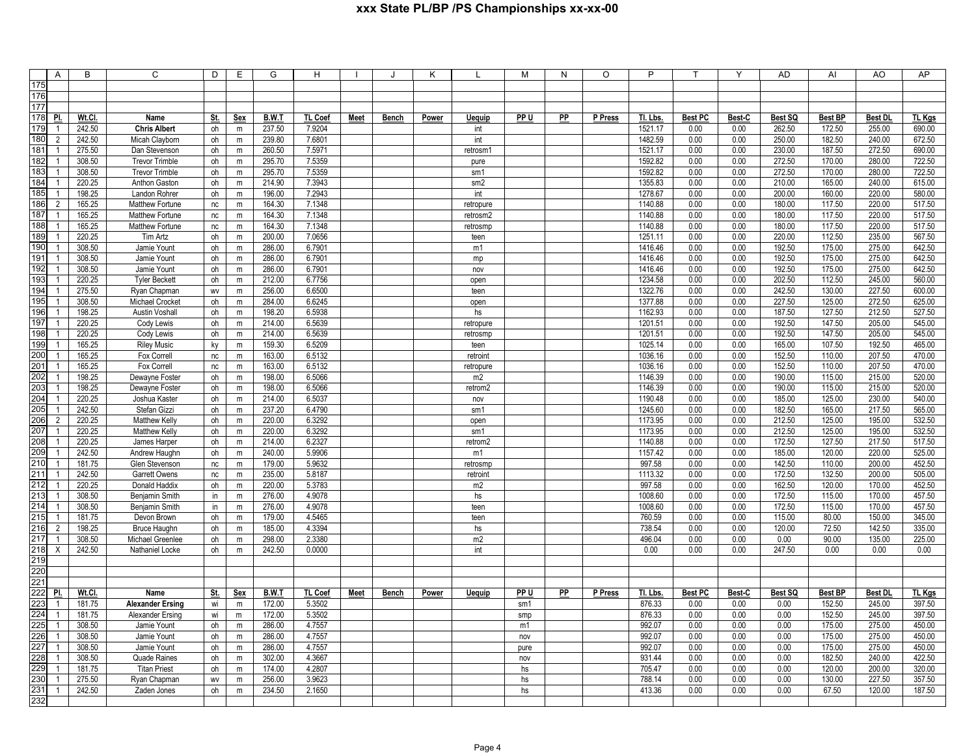|     | A              | B      | C                       | D          | E          | G            | H              |             |              | κ            |                | M    | N  | O       | P        |                |               | <b>AD</b>      | AI             | AO             | AP            |
|-----|----------------|--------|-------------------------|------------|------------|--------------|----------------|-------------|--------------|--------------|----------------|------|----|---------|----------|----------------|---------------|----------------|----------------|----------------|---------------|
| 175 |                |        |                         |            |            |              |                |             |              |              |                |      |    |         |          |                |               |                |                |                |               |
| 176 |                |        |                         |            |            |              |                |             |              |              |                |      |    |         |          |                |               |                |                |                |               |
| 177 |                |        |                         |            |            |              |                |             |              |              |                |      |    |         |          |                |               |                |                |                |               |
| 178 | PI.            | Wt.Cl. | Name                    | St.        | <b>Sex</b> | B.W.T        | <b>TL Coef</b> | Meet        | <b>Bench</b> | Power        | <b>Uequip</b>  | PP U | PP | P Press | TI. Lbs. | <b>Best PC</b> | Best-C        | Best SQ        | <b>Best BP</b> | <b>Best DI</b> | <b>TL Kgs</b> |
| 179 | $\overline{1}$ | 242.50 |                         |            |            | 237.50       | 7.9204         |             |              |              |                |      |    |         | 1521.17  | 0.00           | 0.00          | 262.50         |                |                | 690.00        |
|     |                |        | <b>Chris Albert</b>     | oh         | ${\sf m}$  |              |                |             |              |              | int            |      |    |         |          |                |               |                | 172.50         | 255.00         |               |
| 180 | 2              | 242.50 | Micah Clayborn          | oh         | m          | 239.80       | 7.6801         |             |              |              | int            |      |    |         | 1482.59  | 0.00           | 0.00          | 250.00         | 182.50         | 240.00         | 672.50        |
| 181 | $\overline{1}$ | 275.50 | Dan Stevenson           | oh         | ${\sf m}$  | 260.50       | 7.5971         |             |              |              | retrosm1       |      |    |         | 1521.17  | 0.00           | 0.00          | 230.00         | 187.50         | 272.50         | 690.00        |
| 182 | $\mathbf{1}$   | 308.50 | <b>Trevor Trimble</b>   | oh         | m          | 295.70       | 7.5359         |             |              |              | pure           |      |    |         | 1592.82  | 0.00           | 0.00          | 272.50         | 170.00         | 280.00         | 722.50        |
| 183 | $\overline{1}$ | 308.50 | <b>Trevor Trimble</b>   | oh         | m          | 295.70       | 7.5359         |             |              |              | sm1            |      |    |         | 1592.82  | 0.00           | 0.00          | 272.50         | 170.00         | 280.00         | 722.50        |
| 184 | 1              | 220.25 | Anthon Gaston           | oh         | m          | 214.90       | 7.3943         |             |              |              | sm2            |      |    |         | 1355.83  | 0.00           | 0.00          | 210.00         | 165.00         | 240.00         | 615.00        |
| 185 | $\mathbf{1}$   | 198.25 | Landon Rohrer           | oh         | m          | 196.00       | 7.2943         |             |              |              | int            |      |    |         | 1278.67  | 0.00           | 0.00          | 200.00         | 160.00         | 220.00         | 580.00        |
| 186 | $\overline{2}$ | 165.25 | Matthew Fortune         | nc         | m          | 164.30       | 7.1348         |             |              |              | retropure      |      |    |         | 1140.88  | 0.00           | 0.00          | 180.00         | 117.50         | 220.00         | 517.50        |
| 187 | $\overline{1}$ | 165.25 | Matthew Fortune         | nc         | m          | 164.30       | 7.1348         |             |              |              | retrosm2       |      |    |         | 1140.88  | 0.00           | 0.00          | 180.00         | 117.50         | 220.00         | 517.50        |
| 188 | 1              | 165.25 | Matthew Fortune         | nc         | m          | 164.30       | 7.1348         |             |              |              | retrosmp       |      |    |         | 1140.88  | 0.00           | 0.00          | 180.00         | 117.50         | 220.00         | 517.50        |
| 189 |                | 220.25 | Tim Artz                | oh         | m          | 200.00       | 7.0656         |             |              |              | teen           |      |    |         | 1251.11  | 0.00           | 0.00          | 220.00         | 112.50         | 235.00         | 567.50        |
| 190 | $\mathbf{1}$   | 308.50 | Jamie Yount             | oh         | ${\sf m}$  | 286.00       | 6.7901         |             |              |              | m1             |      |    |         | 1416.46  | 0.00           | 0.00          | 192.50         | 175.00         | 275.00         | 642.50        |
| 191 |                | 308.50 | Jamie Yount             | oh         | m          | 286.00       | 6.7901         |             |              |              | mp             |      |    |         | 1416.46  | 0.00           | 0.00          | 192.50         | 175.00         | 275.00         | 642.50        |
| 192 |                | 308.50 | Jamie Yount             | oh         | m          | 286.00       | 6.7901         |             |              |              | nov            |      |    |         | 1416.46  | 0.00           | 0.00          | 192.50         | 175.00         | 275.00         | 642.50        |
| 193 |                | 220.25 | <b>Tyler Beckett</b>    | oh         | m          | 212.00       | 6.7756         |             |              |              | open           |      |    |         | 1234.58  | 0.00           | 0.00          | 202.50         | 112.50         | 245.00         | 560.00        |
| 194 | $\mathbf{1}$   | 275.50 | Ryan Chapman            | <b>WV</b>  | ${\sf m}$  | 256.00       | 6.6500         |             |              |              | teen           |      |    |         | 1322.76  | 0.00           | 0.00          | 242.50         | 130.00         | 227.50         | 600.00        |
| 195 |                | 308.50 | Michael Crocket         | oh         | m          | 284.00       | 6.6245         |             |              |              | open           |      |    |         | 1377.88  | 0.00           | 0.00          | 227.50         | 125.00         | 272.50         | 625.00        |
| 196 | 1              | 198.25 | Austin Voshall          | oh         | ${\sf m}$  | 198.20       | 6.5938         |             |              |              | hs             |      |    |         | 1162.93  | 0.00           | 0.00          | 187.50         | 127.50         | 212.50         | 527.50        |
| 197 |                | 220.25 | Cody Lewis              | oh         | m          | 214.00       | 6.5639         |             |              |              | retropure      |      |    |         | 1201.51  | 0.00           | 0.00          | 192.50         | 147.50         | 205.00         | 545.00        |
| 198 | $\mathbf{1}$   | 220.25 | Cody Lewis              | oh         | ${\sf m}$  | 214.00       | 6.5639         |             |              |              | retrosmp       |      |    |         | 1201.51  | 0.00           | 0.00          | 192.50         | 147.50         | 205.00         | 545.00        |
| 199 |                | 165.25 | <b>Riley Music</b>      |            | m          | 159.30       | 6.5209         |             |              |              | teen           |      |    |         | 1025.14  | 0.00           | 0.00          | 165.00         | 107.50         | 192.50         | 465.00        |
| 200 | 1              |        |                         | ky         |            |              |                |             |              |              |                |      |    |         |          | 0.00           | 0.00          | 152.50         | 110.00         | 207.50         | 470.00        |
| 201 |                | 165.25 | Fox Correll             | nc         | ${\sf m}$  | 163.00       | 6.5132         |             |              |              | retroint       |      |    |         | 1036.16  | 0.00           | 0.00          |                |                |                | 470.00        |
| 202 |                | 165.25 | Fox Correll             | nc         | m          | 163.00       | 6.5132         |             |              |              | retropure      |      |    |         | 1036.16  |                |               | 152.50         | 110.00         | 207.50         |               |
| 203 | $\mathbf{1}$   | 198.25 | Dewayne Foster          | oh         | ${\sf m}$  | 198.00       | 6.5066         |             |              |              | m2             |      |    |         | 1146.39  | 0.00           | 0.00          | 190.00         | 115.00         | 215.00         | 520.00        |
|     |                | 198.25 | Dewayne Foster          | oh         | m          | 198.00       | 6.5066         |             |              |              | retrom2        |      |    |         | 1146.39  | 0.00           | 0.00          | 190.00         | 115.00         | 215.00         | 520.00        |
| 204 | $\mathbf{1}$   | 220.25 | Joshua Kaster           | oh         | ${\sf m}$  | 214.00       | 6.5037         |             |              |              | nov            |      |    |         | 1190.48  | 0.00           | 0.00          | 185.00         | 125.00         | 230.00         | 540.00        |
| 205 |                | 242.50 | Stefan Gizzi            | oh         | ${\sf m}$  | 237.20       | 6.4790         |             |              |              | sm1            |      |    |         | 1245.60  | 0.00           | 0.00          | 182.50         | 165.00         | 217.50         | 565.00        |
| 206 | 2              | 220.25 | Matthew Kelly           | oh         | ${\sf m}$  | 220.00       | 6.3292         |             |              |              | open           |      |    |         | 1173.95  | 0.00           | 0.00          | 212.50         | 125.00         | 195.00         | 532.50        |
| 207 | $\overline{1}$ | 220.25 | Matthew Kelly           | oh         | m          | 220.00       | 6.3292         |             |              |              | sm1            |      |    |         | 1173.95  | 0.00           | 0.00          | 212.50         | 125.00         | 195.00         | 532.50        |
| 208 |                | 220.25 | James Harper            | oh         | ${\sf m}$  | 214.00       | 6.2327         |             |              |              | retrom2        |      |    |         | 1140.88  | 0.00           | 0.00          | 172.50         | 127.50         | 217.50         | 517.50        |
| 209 |                | 242.50 | Andrew Haughn           | oh         | m          | 240.00       | 5.9906         |             |              |              | m1             |      |    |         | 1157.42  | 0.00           | 0.00          | 185.00         | 120.00         | 220.00         | 525.00        |
| 210 | $\overline{1}$ | 181.75 | Glen Stevenson          | nc         | m          | 179.00       | 5.9632         |             |              |              | retrosmp       |      |    |         | 997.58   | 0.00           | 0.00          | 142.50         | 110.00         | 200.00         | 452.50        |
| 211 |                | 242.50 | Garrett Owens           | nc         | ${\sf m}$  | 235.00       | 5.8187         |             |              |              | retroint       |      |    |         | 1113.32  | 0.00           | 0.00          | 172.50         | 132.50         | 200.00         | 505.00        |
| 212 |                | 220.25 | Donald Haddix           | oh         | ${\sf m}$  | 220.00       | 5.3783         |             |              |              | m2             |      |    |         | 997.58   | 0.00           | 0.00          | 162.50         | 120.00         | 170.00         | 452.50        |
| 213 |                | 308.50 | Benjamin Smith          | in         | ${\sf m}$  | 276.00       | 4.9078         |             |              |              | hs             |      |    |         | 1008.60  | 0.00           | 0.00          | 172.50         | 115.00         | 170.00         | 457.50        |
| 214 | $\mathbf{1}$   | 308.50 | Benjamin Smith          | in         | ${\sf m}$  | 276.00       | 4.9078         |             |              |              | teen           |      |    |         | 1008.60  | 0.00           | 0.00          | 172.50         | 115.00         | 170.00         | 457.50        |
| 215 |                | 181.75 | Devon Brown             | oh         | m          | 179.00       | 4.5465         |             |              |              | teen           |      |    |         | 760.59   | 0.00           | 0.00          | 115.00         | 80.00          | 150.00         | 345.00        |
| 216 | $\overline{2}$ | 198.25 | <b>Bruce Haughn</b>     | oh         | m          | 185.00       | 4.3394         |             |              |              | hs             |      |    |         | 738.54   | 0.00           | 0.00          | 120.00         | 72.50          | 142.50         | 335.00        |
| 217 | 1              | 308.50 | Michael Greenlee        | oh         | ${\sf m}$  | 298.00       | 2.3380         |             |              |              | m <sub>2</sub> |      |    |         | 496.04   | 0.00           | 0.00          | 0.00           | 90.00          | 135.00         | 225.00        |
| 218 | X              | 242.50 | Nathaniel Locke         | oh         | ${\sf m}$  | 242.50       | 0.0000         |             |              |              | int            |      |    |         | 0.00     | 0.00           | 0.00          | 247.50         | 0.00           | 0.00           | 0.00          |
| 219 |                |        |                         |            |            |              |                |             |              |              |                |      |    |         |          |                |               |                |                |                |               |
| 220 |                |        |                         |            |            |              |                |             |              |              |                |      |    |         |          |                |               |                |                |                |               |
| 221 |                |        |                         |            |            |              |                |             |              |              |                |      |    |         |          |                |               |                |                |                |               |
| 222 | PI.            | Wt.Cl. | Name                    | <u>St.</u> | <b>Sex</b> | <b>B.W.T</b> | <b>TL Coef</b> | <b>Meet</b> | <b>Bench</b> | <b>Power</b> | <u>Uequip</u>  | PP U | PP | P Press | Tl. Lbs. | <b>Best PC</b> | <u>Best-C</u> | <u>Best SQ</u> | <b>Best BP</b> | <b>Best DL</b> | TL Kgs        |
| 223 | 1              | 181.75 | <b>Alexander Ersing</b> | wi         | m          | 172.00       | 5.3502         |             |              |              |                | sm1  |    |         | 876.33   | 0.00           | 0.00          | 0.00           | 152.50         | 245.00         | 397.50        |
| 224 |                | 181.75 | Alexander Ersing        | wi         | m          | 172.00       | 5.3502         |             |              |              |                | smp  |    |         | 876.33   | 0.00           | 0.00          | 0.00           | 152.50         | 245.00         | 397.50        |
| 225 | $\mathbf{1}$   | 308.50 | Jamie Yount             | oh         | ${\sf m}$  | 286.00       | 4.7557         |             |              |              |                | m1   |    |         | 992.07   | 0.00           | 0.00          | 0.00           | 175.00         | 275.00         | 450.00        |
| 226 | 1              | 308.50 | Jamie Yount             | oh         | m          | 286.00       | 4.7557         |             |              |              |                | nov  |    |         | 992.07   | 0.00           | 0.00          | 0.00           | 175.00         | 275.00         | 450.00        |
| 227 | $\mathbf{1}$   | 308.50 | Jamie Yount             | oh         | m          | 286.00       | 4.7557         |             |              |              |                | pure |    |         | 992.07   | 0.00           | 0.00          | 0.00           | 175.00         | 275.00         | 450.00        |
| 228 |                | 308.50 | <b>Quade Raines</b>     | oh         | m          | 302.00       | 4.3667         |             |              |              |                | nov  |    |         | 931.44   | 0.00           | 0.00          | 0.00           | 182.50         | 240.00         | 422.50        |
| 229 | $\mathbf{1}$   | 181.75 |                         | oh         | m          | 174.00       | 4.2807         |             |              |              |                | hs   |    |         | 705.47   | 0.00           | 0.00          | 0.00           | 120.00         | 200.00         | 320.00        |
| 230 |                |        | <b>Titan Priest</b>     |            |            |              |                |             |              |              |                |      |    |         |          |                |               |                |                |                |               |
|     |                | 275.50 | Ryan Chapman            | WV         | m          | 256.00       | 3.9623         |             |              |              |                | hs   |    |         | 788.14   | 0.00           | 0.00          | 0.00           | 130.00         | 227.50         | 357.50        |
| 231 |                | 242.50 | Zaden Jones             | oh         | m          | 234.50       | 2.1650         |             |              |              |                | hs   |    |         | 413.36   | 0.00           | 0.00          | 0.00           | 67.50          | 120.00         | 187.50        |
| 232 |                |        |                         |            |            |              |                |             |              |              |                |      |    |         |          |                |               |                |                |                |               |